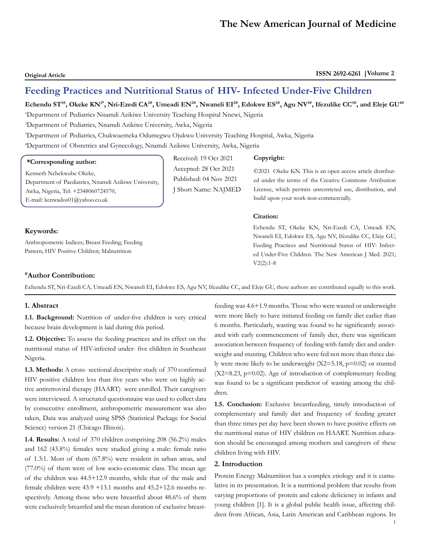**Original Article ISSN 2692-6261 Volume 2**

# **Feeding Practices and Nutritional Status of HIV- Infected Under-Five Children**

Received: 19 Oct 2021 Accepted: 28 Oct 2021 Published: 04 Nov 2021 J Short Name: NAJMED

Echendu ST<sup>1#</sup>, Okeke KN<sup>2\*</sup>, Nri-Ezedi CA<sup>2#</sup>, Umeadi EN<sup>2#</sup>, Nwaneli EI<sup>2#</sup>, Edokwe ES<sup>2#</sup>, Agu NV<sup>1#</sup>, Ifezulike CC<sup>3#</sup>, and Eleje GU<sup>4#</sup>

1 Department of Pediatrics Nnamdi Azikiwe University Teaching Hospital Nnewi, Nigeria

2 Department of Pediatrics, Nnamdi Azikiwe University, Awka, Nigeria

3 Department of Pediatrics, Chukwuemeka Odumegwu Ojukwu University Teaching Hospital, Awka, Nigeria

4 Department of Obstetrics and Gynecology, Nnamdi Azikiwe University, Awka, Nigeria

# **\*Corresponding author:**

Kenneth Nchekwube Okeke, Department of Paediatrics, Nnamdi Azikiwe University, Awka, Nigeria, Tel: +2348060724570, E-mail: [kenwados01@yahoo.co.uk](mailto:kenwados01@yahoo.co.uk)

# **Keywords:**

Anthropometric Indices; Breast Feeding; Feeding Pattern; HIV Positive Children; Malnutrition

#### **Copyright:**

©2021 Okeke KN. This is an open access article distributed under the terms of the Creative Commons Attribution License, which permits unrestricted use, distribution, and build upon your work non-commercially.

# **Citation:**

Echendu ST, Okeke KN, Nri-Ezedi CA, Umeadi EN, Nwaneli EI, Edokwe ES, Agu NV, Ifezulike CC, Eleje GU, Feeding Practices and Nutritional Status of HIV- Infected Under-Five Children. The New American J Med. 2021; V2(2):1-8

# **#Author Contribution:**

Echendu ST, Nri-Ezedi CA, Umeadi EN, Nwaneli EI, Edokwe ES, Agu NV, Ifezulike CC, and Eleje GU, these authors are contributed equally to this work.

## **1. Abstract**

**1.1. Background:** Nutrition of under-five children is very critical because brain development is laid during this period.

**1.2. Objective:** To assess the feeding practices and its effect on the nutritional status of HIV-infected under- five children in Southeast Nigeria.

**1.3. Methods:** A cross- sectional descriptive study of 370 confirmed HIV positive children less than five years who were on highly active antiretroviral therapy (HAART) were enrolled. Their caregivers were interviewed. A structured questionnaire was used to collect data by consecutive enrollment, anthropometric measurement was also taken, Data was analyzed using SPSS (Statistical Package for Social Science) version 21 (Chicago Illinois).

**1.4. Results:** A total of 370 children comprising 208 (56.2%) males and 162 (43.8%) females were studied giving a male: female ratio of 1.3:1. Most of them (67.8%) were resident in urban areas, and (77.0%) of them were of low socio-economic class. The mean age of the children was 44.5+12.9 months, while that of the male and female children were 43.9 +13.1 months and 45.2+12.6 months respectively. Among those who were breastfed about 48.6% of them were exclusively breastfed and the mean duration of exclusive breastfeeding was 4.6+1.9 months. Those who were wasted or underweight were more likely to have initiated feeding on family diet earlier than 6 months. Particularly, wasting was found to be significantly associated with early commencement of family diet, there was significant association between frequency of feeding with family diet and underweight and stunting. Children who were fed not more than thrice daily were more likely to be underweight (X2=5.18, p=0.02) or stunted  $(X2=8.23, p=0.02)$ . Age of introduction of complementary feeding was found to be a significant predictor of wasting among the children.

**1.5. Conclusion:** Exclusive breastfeeding, timely introduction of complementary and family diet and frequency of feeding greater than three times per day have been shown to have positive effects on the nutritional status of HIV children on HAART. Nutrition education should be encouraged among mothers and caregivers of these children living with HIV.

# **2. Introduction**

Protein Energy Malnutrition has a complex etiology and it is cumulative in its presentation. It is a nutritional problem that results from varying proportions of protein and calorie deficiency in infants and young children [1]. It is a global public health issue, affecting children from African, Asia, Latin American and Caribbean regions. Its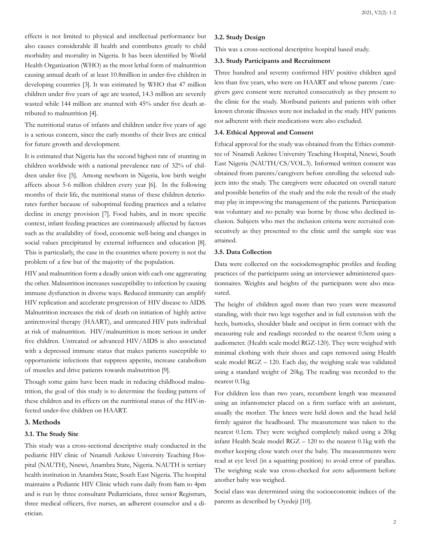effects is not limited to physical and intellectual performance but also causes considerable ill health and contributes greatly to child morbidity and mortality in Nigeria. It has been identified by World Health Organization (WHO) as the most lethal form of malnutrition causing annual death of at least 10.8million in under-five children in developing countries [3]. It was estimated by WHO that 47 million children under five years of age are wasted, 14.3 million are severely wasted while 144 million are stunted with 45% under five death attributed to malnutrition [4].

The nutritional status of infants and children under five years of age is a serious concern, since the early months of their lives are critical for future growth and development.

It is estimated that Nigeria has the second highest rate of stunting in children worldwide with a national prevalence rate of 32% of children under five [5]. Among newborn in Nigeria, low birth weight affects about 5-6 million children every year [6]. In the following months of their life, the nutritional status of these children deteriorates further because of suboptimal feeding practices and a relative decline in energy provision [7]. Food habits, and in more specific context, infant feeding practices are continuously affected by factors such as the availability of food, economic well-being and changes in social values precipitated by external influences and education [8]. This is particularly, the case in the countries where poverty is not the problem of a few but of the majority of the population.

HIV and malnutrition form a deadly union with each one aggravating the other. Malnutrition increases susceptibility to infection by causing immune dysfunction in diverse ways. Reduced immunity can amplify HIV replication and accelerate progression of HIV disease to AIDS. Malnutrition increases the risk of death on initiation of highly active antiretroviral therapy (HAART), and untreated HIV puts individual at risk of malnutrition. HIV/malnutrition is more serious in under five children. Untreated or advanced HIV/AIDS is also associated with a depressed immune status that makes patients susceptible to opportunistic infections that suppress appetite, increase catabolism of muscles and drive patients towards malnutrition [9].

Though some gains have been made in reducing childhood malnutrition, the goal of this study is to determine the feeding pattern of these children and its effects on the nutritional status of the HIV-infected under-five children on HAART.

# **3. Methods**

#### **3.1. The Study Site**

This study was a cross-sectional descriptive study conducted in the pediatric HIV clinic of Nnamdi Azikiwe University Teaching Hospital (NAUTH), Nnewi, Anambra State, Nigeria. NAUTH is tertiary health institution in Anambra State, South East Nigeria. The hospital maintains a Pediatric HIV Clinic which runs daily from 8am to 4pm and is run by three consultant Pediatricians, three senior Registrars, three medical officers, five nurses, an adherent counselor and a dietician.

#### **3.2. Study Design**

This was a cross-sectional descriptive hospital based study.

# **3.3. Study Participants and Recruitment**

Three hundred and seventy confirmed HIV positive children aged less than five years, who were on HAART and whose parents /caregivers gave consent were recruited consecutively as they present to the clinic for the study. Moribund patients and patients with other known chronic illnesses were not included in the study. HIV patients not adherent with their medications were also excluded.

#### **3.4. Ethical Approval and Consent**

Ethical approval for the study was obtained from the Ethics committee of Nnamdi Azikiwe University Teaching Hospital, Nnewi, South East Nigeria (NAUTH/CS/VOL.3). Informed written consent was obtained from parents/caregivers before enrolling the selected subjects into the study. The caregivers were educated on overall nature and possible benefits of the study and the role the result of the study may play in improving the management of the patients. Participation was voluntary and no penalty was borne by those who declined inclusion. Subjects who met the inclusion criteria were recruited consecutively as they presented to the clinic until the sample size was attained.

#### **3.5. Data Collection**

Data were collected on the sociodemographic profiles and feeding practices of the participants using an interviewer administered questionnaires. Weights and heights of the participants were also measured.

The height of children aged more than two years were measured standing, with their two legs together and in full extension with the heels, buttocks, shoulder blade and occiput in firm contact with the measuring rule and readings recorded to the nearest 0.5cm using a audiometer. (Health scale model RGZ-120). They were weighed with minimal clothing with their shoes and caps removed using Health scale model RGZ – 120. Each day, the weighing scale was validated using a standard weight of 20kg. The reading was recorded to the nearest 0.1kg.

For children less than two years, recumbent length was measured using an infantometer placed on a firm surface with an assistant, usually the mother. The knees were held down and the head held firmly against the headboard. The measurement was taken to the nearest 0.1cm. They were weighed completely naked using a 20kg infant Health Scale model RGZ – 120 to the nearest 0.1kg with the mother keeping close watch over the baby. The measurements were read at eye level (in a squatting position) to avoid error of parallax. The weighing scale was cross-checked for zero adjustment before another baby was weighed.

Social class was determined using the socioeconomic indices of the parents as described by Oyedeji [10].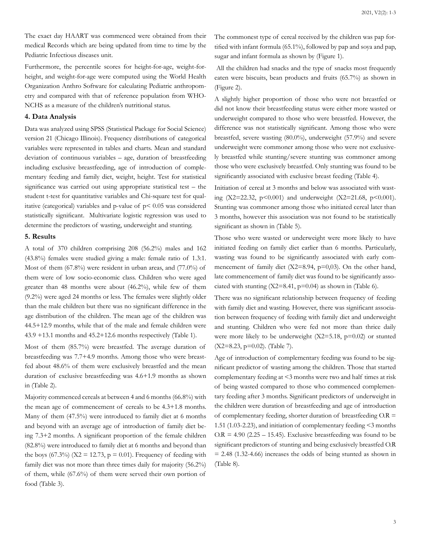The exact day HAART was commenced were obtained from their medical Records which are being updated from time to time by the Pediatric Infectious diseases unit.

Furthermore, the percentile scores for height-for-age, weight-forheight, and weight-for-age were computed using the World Health Organization Anthro Software for calculating Pediatric anthropometry and compared with that of reference population from WHO-NCHS as a measure of the children's nutritional status.

# **4. Data Analysis**

Data was analyzed using SPSS (Statistical Package for Social Science) version 21 (Chicago Illinois). Frequency distributions of categorical variables were represented in tables and charts. Mean and standard deviation of continuous variables – age, duration of breastfeeding including exclusive breastfeeding, age of introduction of complementary feeding and family diet, weight, height. Test for statistical significance was carried out using appropriate statistical test – the student t-test for quantitative variables and Chi-square test for qualitative (categorical) variables and p-value of p< 0.05 was considered statistically significant. Multivariate logistic regression was used to determine the predictors of wasting, underweight and stunting.

#### **5. Results**

A total of 370 children comprising 208 (56.2%) males and 162 (43.8%) females were studied giving a male: female ratio of 1.3:1. Most of them (67.8%) were resident in urban areas, and (77.0%) of them were of low socio-economic class. Children who were aged greater than 48 months were about (46.2%), while few of them (9.2%) were aged 24 months or less. The females were slightly older than the male children but there was no significant difference in the age distribution of the children. The mean age of the children was 44.5+12.9 months, while that of the male and female children were 43.9 +13.1 months and 45.2+12.6 months respectively (Table 1).

Most of them (85.7%) were breastfed. The average duration of breastfeeding was 7.7+4.9 months. Among those who were breastfed about 48.6% of them were exclusively breastfed and the mean duration of exclusive breastfeeding was 4.6+1.9 months as shown in (Table 2).

Majority commenced cereals at between 4 and 6 months (66.8%) with the mean age of commencement of cereals to be 4.3+1.8 months. Many of them (47.5%) were introduced to family diet at 6 months and beyond with an average age of introduction of family diet being 7.3+2 months. A significant proportion of the female children (82.8%) were introduced to family diet at 6 months and beyond than the boys (67.3%) ( $X2 = 12.73$ ,  $p = 0.01$ ). Frequency of feeding with family diet was not more than three times daily for majority (56.2%) of them, while (67.6%) of them were served their own portion of food (Table 3).

The commonest type of cereal received by the children was pap fortified with infant formula (65.1%), followed by pap and soya and pap, sugar and infant formula as shown by (Figure 1).

 All the children had snacks and the type of snacks most frequently eaten were biscuits, bean products and fruits (65.7%) as shown in (Figure 2).

A slightly higher proportion of those who were not breastfed or did not know their breastfeeding status were either more wasted or underweight compared to those who were breastfed. However, the difference was not statistically significant. Among those who were breastfed, severe wasting (80.0%), underweight (57.9%) and severe underweight were commoner among those who were not exclusively breastfed while stunting/severe stunting was commoner among those who were exclusively breastfed. Only stunting was found to be significantly associated with exclusive breast feeding (Table 4).

Initiation of cereal at 3 months and below was associated with wasting (X2=22.32, p<0.001) and underweight (X2=21.68, p<0.001). Stunting was commoner among those who initiated cereal later than 3 months, however this association was not found to be statistically significant as shown in (Table 5).

Those who were wasted or underweight were more likely to have initiated feeding on family diet earlier than 6 months. Particularly, wasting was found to be significantly associated with early commencement of family diet (X2=8.94, p=0,03). On the other hand, late commencement of family diet was found to be significantly associated with stunting  $(X2=8.41, p=0.04)$  as shown in (Table 6).

There was no significant relationship between frequency of feeding with family diet and wasting. However, there was significant association between frequency of feeding with family diet and underweight and stunting. Children who were fed not more than thrice daily were more likely to be underweight  $(X2=5.18, p=0.02)$  or stunted (X2=8.23, p=0.02). (Table 7).

Age of introduction of complementary feeding was found to be significant predictor of wasting among the children. Those that started complementary feeding at <3 months were two and half times at risk of being wasted compared to those who commenced complementary feeding after 3 months. Significant predictors of underweight in the children were duration of breastfeeding and age of introduction of complementary feeding, shorter duration of breastfeeding  $O.R =$ 1.51 (1.03-2.23), and initiation of complementary feeding <3 months  $OR = 4.90$  (2.25 – 15.45). Exclusive breastfeeding was found to be significant predictors of stunting and being exclusively breastfed O.R  $= 2.48$  (1.32-4.66) increases the odds of being stunted as shown in (Table 8).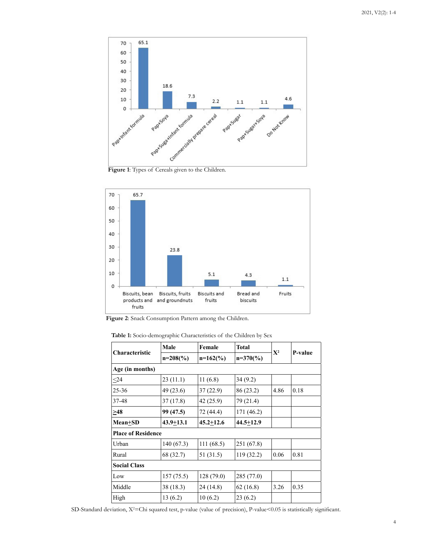

**Figure 1**: Types of Cereals given to the Children.



**Figure 2**: Snack Consumption Pattern among the Children.

| Table 1: Socio-demographic Characteristics of the Children by Sex |  |  |  |
|-------------------------------------------------------------------|--|--|--|
|-------------------------------------------------------------------|--|--|--|

|                           | Male          | Female                          | Total         | $X^2$ |         |
|---------------------------|---------------|---------------------------------|---------------|-------|---------|
| <b>Characteristic</b>     | $n=208(%)$    | $n=162\left(\frac{9}{6}\right)$ | $n=370(%)$    |       | P-value |
| Age (in months)           |               |                                 |               |       |         |
| $\leq$ 24                 | 23(11.1)      | 11(6.8)                         | 34 (9.2)      |       |         |
| $25 - 36$                 | 49 (23.6)     | 37(22.9)                        | 86 (23.2)     | 4.86  | 0.18    |
| 37-48                     | 37(17.8)      | 42 (25.9)                       | 79 (21.4)     |       |         |
| $\geq 48$                 | 99 (47.5)     | 72 (44.4)                       | 171 (46.2)    |       |         |
| Mean+SD                   | $43.9 + 13.1$ | $45.2 + 12.6$                   | $44.5 + 12.9$ |       |         |
| <b>Place of Residence</b> |               |                                 |               |       |         |
| Urban                     | 140(67.3)     | 111(68.5)                       | 251 (67.8)    |       |         |
| Rural                     | 68 (32.7)     | 51 (31.5)                       | 119(32.2)     | 0.06  | 0.81    |
| <b>Social Class</b>       |               |                                 |               |       |         |
| Low                       | 157(75.5)     | 128(79.0)                       | 285 (77.0)    |       |         |
| Middle                    | 38 (18.3)     | 24 (14.8)                       | 62(16.8)      | 3.26  | 0.35    |
| High                      | 13(6.2)       | 10(6.2)                         | 23 (6.2)      |       |         |

SD-Standard deviation, X<sup>2</sup>=Chi squared test, p-value (value of precision), P-value<0.05 is statistically significant.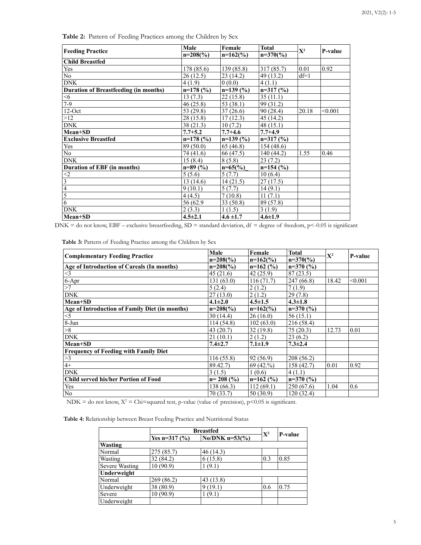|                                              | Male          | Female        | <b>Total</b>  | $X^2$  | P-value |
|----------------------------------------------|---------------|---------------|---------------|--------|---------|
| <b>Feeding Practice</b>                      | $n=208(%)$    | $n=162(%)$    | $n=370(%)$    |        |         |
| <b>Child Breastfed</b>                       |               |               |               |        |         |
| Yes                                          | 178 (85.6)    | 139 (85.8)    | 317 (85.7)    | 0.01   | 0.92    |
| $\overline{No}$                              | 26(12.5)      | 23(14.2)      | 49 (13.2)     | $df=1$ |         |
| <b>DNK</b>                                   | 4(1.9)        | 0(0.0)        | 4(1.1)        |        |         |
| <b>Duration of Breastfeeding (in months)</b> | $n=178$ (%)   | $n=139(%)$    | $n=317(%)$    |        |         |
| $<$ 6                                        | 13(7.3)       | 22(15.8)      | 35(11.1)      |        |         |
| $7 - 9$                                      | 46(25.8)      | 53 (38.1)     | 99 (31.2)     |        |         |
| $12$ -Oct                                    | 53 (29.8)     | 37(26.6)      | 90(28.4)      | 20.18  | < 0.001 |
| >12                                          | 28 (15.8)     | 17(12.3)      | 45 (14.2)     |        |         |
| <b>DNK</b>                                   | 38(21.3)      | 10(7.2)       | 48(15.1)      |        |         |
| Mean+SD                                      | $7.7 + 5.2$   | $7.7 + 4.6$   | $7.7 + 4.9$   |        |         |
| <b>Exclusive Breastfed</b>                   | $n=178$ (%)   | $n=139(%)$    | $n=317(%)$    |        |         |
| Yes                                          | 89 (50.0)     | 65 (46.8)     | 154(48.6)     |        |         |
| $\overline{No}$                              | 74 (41.6)     | 66 (47.5)     | 140 (44.2)    | 1.55   | 0.46    |
| <b>DNK</b>                                   | 15(8.4)       | 8(5.8)        | 23(7.2)       |        |         |
| <b>Duration of EBF</b> (in months)           | $n=89(%)$     | $n=65(%)$     | $n=154$ (%)   |        |         |
| $\leq$ 2                                     | 5(5.6)        | 5(7.7)        | 10(6.4)       |        |         |
| $\overline{3}$                               | 13(14.6)      | 14(21.5)      | 27(17.5)      |        |         |
| $\overline{4}$                               | 9(10.1)       | 5(7.7)        | 14(9.1)       |        |         |
| $\overline{5}$                               | 4(4.5)        | 7(10.8)       | 11(7.1)       |        |         |
| $\overline{6}$                               | 56 (62.9)     | 33(50.8)      | 89 (57.8)     |        |         |
| <b>DNK</b>                                   | 2(3.3)        | 1(1.5)        | 3(1.9)        |        |         |
| Mean+SD                                      | $4.5 \pm 2.1$ | $4.6 \pm 1.7$ | $4.6 \pm 1.9$ |        |         |

**Table 2:** Pattern of Feeding Practices among the Children by Sex

 $DNK =$  do not know,  $EBF -$  exclusive breastfeeding,  $SD =$  standard deviation,  $df =$  degree of freedom,  $p < -0.05$  is significant

|                                                | Male          | Female        | Total         | $\mathbf{X}^2$ |         |
|------------------------------------------------|---------------|---------------|---------------|----------------|---------|
| <b>Complementary Feeding Practice</b>          | $n=208(%)$    | $n=162(%)$    | $n=370(%)$    |                | P-value |
| Age of Introduction of Careals (In months)     | $n=208(%)$    | $n=162$ (%)   | $n=370(%)$    |                |         |
| $<$ 3                                          | 45(21.6)      | 42(25.9)      | 87(23.5)      |                |         |
| $6-Apr$                                        | 131(63.0)     | 116(71.7)     | 247(66.8)     | 18.42          | < 0.001 |
| >7                                             | 5(2.4)        | 2(1.2)        | 7(1.9)        |                |         |
| <b>DNK</b>                                     | 27(13.0)      | 2(1.2)        | 29(7.8)       |                |         |
| Mean+SD                                        | $4.1 \pm 2.0$ | $4.5 \pm 1.5$ | $4.3 \pm 1.8$ |                |         |
| Age of Introduction of Family Diet (in months) | $n=208(%)$    | $n=162(%)$    | $n=370(%)$    |                |         |
| $<$ 5                                          | 30(14.4)      | 26(16.0)      | 56(15.1)      |                |         |
| 8-Jun                                          | 114(54.8)     | 102(63.0)     | 216 (58.4)    |                |         |
| >8                                             | 43(20.7)      | 32 (19.8)     | 75(20.3)      | 12.73          | 0.01    |
| <b>DNK</b>                                     | 21(10.1)      | 2(1.2)        | 23(6.2)       |                |         |
| Mean+SD                                        | $7.4 \pm 2.7$ | $7.1 \pm 1.9$ | $7.3 \pm 2.4$ |                |         |
| <b>Frequency of Feeding with Family Diet</b>   |               |               |               |                |         |
| >3                                             | 116(55.8)     | 92(56.9)      | 208 (56.2)    |                |         |
| $4+$                                           | 89.42.7)      | 69(42.%)      | 158 (42.7)    | 0.01           | 0.92    |
| <b>DNK</b>                                     | 3(1.5)        | 1(0.6)        | 4(1.1)        |                |         |
| <b>Child served his/her Portion of Food</b>    | $n = 208$ (%) | $n=162(%)$    | $n=370(%)$    |                |         |
| Yes                                            | 138 (66.3)    | 112(69.1)     | 250(67.6)     | 1.04           | 0.6     |
| N <sub>0</sub>                                 | 70(33.7)      | 50 (30.9)     | 120 (32.4)    |                |         |

**Table 3:** Pattern of Feeding Practice among the Children by Sex

NDK = do not know,  $X^2 = \text{Chi} = \text{square}$  test, p-value (value of precision), p<0.05 is significant.

**Table 4:** Relationship between Breast Feeding Practice and Nutritional Status

|                       | <b>Breastfed</b> |                  |       |         |  |
|-----------------------|------------------|------------------|-------|---------|--|
|                       | Yes n= $317(%)$  | $No/DNK$ n=53(%) | $X^2$ | P-value |  |
| Wasting               |                  |                  |       |         |  |
| Normal                | 275 (85.7)       | 46(14.3)         |       |         |  |
| Wasting               | 32 (84.2)        | 6(15.8)          | 0.3   | 0.85    |  |
| <b>Severe Wasting</b> | 10 (90.9)        | (9.1)            |       |         |  |
| Underweight           |                  |                  |       |         |  |
| Normal                | 269(86.2)        | 43(13.8)         |       |         |  |
| Underweight           | 38 (80.9)        | 9(19.1)          | 0.6   | 0.75    |  |
| Severe                | 10(90.9)         | (9.1)            |       |         |  |
| Underweight           |                  |                  |       |         |  |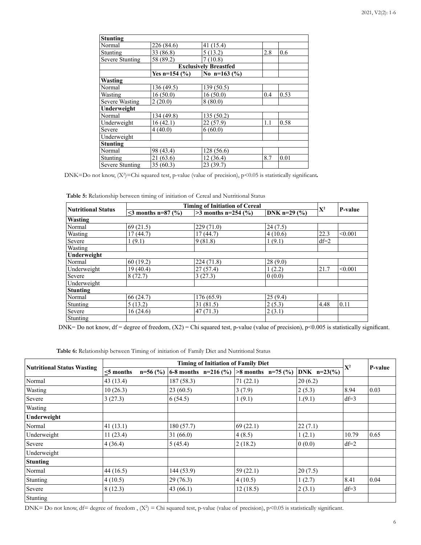| <b>Stunting</b>        |                   |                              |     |      |
|------------------------|-------------------|------------------------------|-----|------|
| Normal                 | 226 (84.6)        | 41 (15.4)                    |     |      |
| Stunting               | 33 (86.8)         | 5(13.2)                      | 2.8 | 0.6  |
| <b>Severe Stunting</b> | 58 (89.2)         | 7(10.8)                      |     |      |
|                        |                   | <b>Exclusively Breastfed</b> |     |      |
|                        | Yes n=154 $(\% )$ | No n=163 $(\%)$              |     |      |
| Wasting                |                   |                              |     |      |
| Normal                 | 136 (49.5)        | 139(50.5)                    |     |      |
| Wasting                | 16(50.0)          | 16(50.0)                     | 0.4 | 0.53 |
| <b>Severe Wasting</b>  | 2(20.0)           | 8(80.0)                      |     |      |
| Underweight            |                   |                              |     |      |
| Normal                 | 134 (49.8)        | 135(50.2)                    |     |      |
| Underweight            | 16(42.1)          | 22(57.9)                     | 1.1 | 0.58 |
| Severe                 | 4(40.0)           | 6(60.0)                      |     |      |
| Underweight            |                   |                              |     |      |
| <b>Stunting</b>        |                   |                              |     |      |
| Normal                 | 98 (43.4)         | 128 (56.6)                   |     |      |
| Stunting               | 21(63.6)          | 12(36.4)                     | 8.7 | 0.01 |
| <b>Severe Stunting</b> | 35(60.3)          | 23(39.7)                     |     |      |

DNK=Do not know,  $(X^2)$ =Chi squared test, p-value (value of precision), p<0.05 is statistically significant.

**Table 5:** Relationship between timing of initiation of Cereal and Nutritional Status

| <b>Timing of Initiation of Cereal</b> |                        |                                         |         |        |         |
|---------------------------------------|------------------------|-----------------------------------------|---------|--------|---------|
| <b>Nutritional Status</b>             | $\leq$ months n=87 (%) | $>3$ months n=254 (%)<br>DNK $n=29$ (%) |         | $X^2$  | P-value |
| Wasting                               |                        |                                         |         |        |         |
| Normal                                | 69(21.5)               | 229(71.0)                               | 24(7.5) |        |         |
| Wasting                               | 17(44.7)               | 17(44.7)                                | 4(10.6) | 22.3   | < 0.001 |
| Severe                                | 1(9.1)                 | 9(81.8)                                 | 1(9.1)  | $df=2$ |         |
| Wasting                               |                        |                                         |         |        |         |
| Underweight                           |                        |                                         |         |        |         |
| Normal                                | 60(19.2)               | 224(71.8)                               | 28(9.0) |        |         |
| Underweight                           | 19(40.4)               | 27(57.4)                                | 1(2.2)  | 21.7   | < 0.001 |
| Severe                                | 8(72.7)                | 3(27.3)                                 | 0(0.0)  |        |         |
| Underweight                           |                        |                                         |         |        |         |
| <b>Stunting</b>                       |                        |                                         |         |        |         |
| Normal                                | 66(24.7)               | 176 (65.9)                              | 25(9.4) |        |         |
| Stunting                              | 5(13.2)                | 31(81.5)                                | 2(5.3)  | 4.48   | 0.11    |
| Severe                                | 16(24.6)               | 47(71.3)                                | 2(3.1)  |        |         |
| Stunting                              |                        |                                         |         |        |         |

DNK= Do not know, df = degree of freedom,  $(X2)$  = Chi squared test, p-value (value of precision), p<0.005 is statistically significant.

|  |  | Table 6: Relationship between Timing of initiation of Family Diet and Nutritional Status |
|--|--|------------------------------------------------------------------------------------------|
|--|--|------------------------------------------------------------------------------------------|

|                                   | <b>Timing of Initiation of Family Diet</b> |            |                                          |             |               |             |         |
|-----------------------------------|--------------------------------------------|------------|------------------------------------------|-------------|---------------|-------------|---------|
| <b>Nutritional Status Wasting</b> | $\leq$ 5 months                            | $n=56$ (%) | 6-8 months n=216 (%)  >8 months n=75 (%) |             | $DNK$ n=23(%) | ${\bf X}^2$ | P-value |
| Normal                            | 43(13.4)                                   |            | 187(58.3)                                | 71(22.1)    | 20(6.2)       |             |         |
| Wasting                           | 10(26.3)                                   |            | 23(60.5)                                 | 3(7.9)      | 2(5.3)        | 8.94        | 0.03    |
| Severe                            | 3(27.3)                                    |            | 6(54.5)                                  | 1(9.1)      | 1.(9.1)       | $df=3$      |         |
| Wasting                           |                                            |            |                                          |             |               |             |         |
| Underweight                       |                                            |            |                                          |             |               |             |         |
| Normal                            | 41(13.1)                                   |            | 180(57.7)                                | 69(22.1)    | 22(7.1)       |             |         |
| Underweight                       | 11(23.4)                                   |            | 31(66.0)                                 | 4(8.5)      | 1(2.1)        | 10.79       | 0.65    |
| Severe                            | 4(36.4)                                    |            | 5(45.4)                                  | 2(18.2)     | 0(0.0)        | $df=2$      |         |
| Underweight                       |                                            |            |                                          |             |               |             |         |
| <b>Stunting</b>                   |                                            |            |                                          |             |               |             |         |
| Normal                            | 44(16.5)                                   |            | 144 (53.9)                               | 59 $(22.1)$ | 20(7.5)       |             |         |
| Stunting                          | 4(10.5)                                    |            | 29(76.3)                                 | 4(10.5)     | 1(2.7)        | 8.41        | 0.04    |
| Severe                            | 8(12.3)                                    |            | 43(66.1)                                 | 12(18.5)    | 2(3.1)        | $df=3$      |         |
| Stunting                          |                                            |            |                                          |             |               |             |         |

DNK= Do not know, df= degree of freedom ,  $(X^2)$  = Chi squared test, p-value (value of precision), p<0.05 is statistically significant.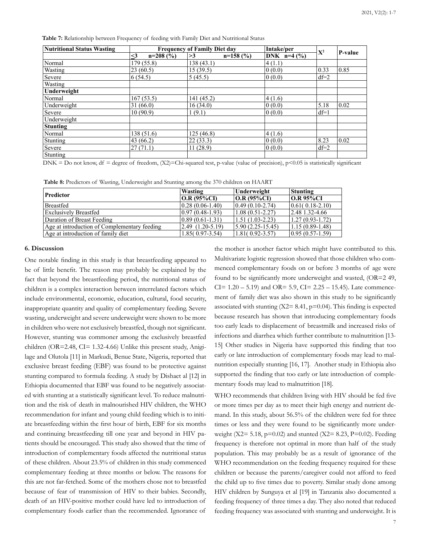**Table 7:** Relationship between Frequency of feeding with Family Diet and Nutritional Status

| <b>Nutritional Status Wasting</b> | <b>Frequency of Family Diet day</b> |                  | Intake/per    |                |         |
|-----------------------------------|-------------------------------------|------------------|---------------|----------------|---------|
|                                   | $\leq$ 3<br>$n=208(%)$              | $n=158(%)$<br>>3 | DNK $n=4$ (%) | $\mathbf{X}^2$ | P-value |
| Normal                            | 179 (55.8)                          | 138(43.1)        | 4(1.1)        |                |         |
| Wasting                           | 23(60.5)                            | 15(39.5)         | 0(0.0)        | 0.33           | 0.85    |
| Severe                            | 6(54.5)                             | 5(45.5)          | 0(0.0)        | $df=2$         |         |
| Wasting                           |                                     |                  |               |                |         |
| Underweight                       |                                     |                  |               |                |         |
| Normal                            | 167(53.5)                           | 141(45.2)        | 4(1.6)        |                |         |
| Underweight                       | 31(66.0)                            | 16(34.0)         | 0(0.0)        | 5.18           | 0.02    |
| Severe                            | 10(90.9)                            | 1(9.1)           | 0(0.0)        | $df=1$         |         |
| Underweight                       |                                     |                  |               |                |         |
| <b>Stunting</b>                   |                                     |                  |               |                |         |
| Normal                            | 138(51.6)                           | 125(46.8)        | 4(1.6)        |                |         |
| Stunting                          | 43(66.2)                            | 22(33.3)         | 0(0.0)        | 8.23           | 0.02    |
| Severe                            | 27(71.1)                            | 11(28.9)         | 0(0.0)        | $df=2$         |         |
| Stunting                          |                                     |                  |               |                |         |

DNK = Do not know, df = degree of freedom,  $(X2)$ =Chi-squared test, p-value (value of precision), p<0.05 is statistically significant

**Table 8:** Predictors of Wasting, Underweight and Stunting among the 370 children on HAART

|                                              | Wasting                                | Underweight                          | Stunting            |
|----------------------------------------------|----------------------------------------|--------------------------------------|---------------------|
| Predictor                                    | O.R (95%CI)                            | O.R (95%CI)                          | $ OR 95\%CI$        |
| <b>Breastfed</b>                             | $(0.28(0.06-1.40))$                    | $(0.49(0.10-2.74))$                  | $ 0.61(0.18-2.10) $ |
| <b>Exclusively Breastfed</b>                 | $(0.97(0.48-1.93))$                    | $(1.08(0.51-2.27))$                  | $2.48$ 1.32-4.66    |
| Duration of Breast Feeding                   | $(0.89(0.61-1.31))$                    | $(1.51(1.03-2.23))$                  | $1.27(0.93 - 1.72)$ |
| Age at introduction of Complementary feeding | $\vert 2.49 \vert (1.20 - 5.19) \vert$ | $\vert 5.90 \, (2.25 - 15.45) \vert$ | $1.15(0.89-1.48)$   |
| Age at introduction of family diet           | $1.85(0.97-3.54)$                      | $1.81(0.92 - 3.57)$                  | $(0.95(0.57-1.59))$ |

#### **6. Discussion**

One notable finding in this study is that breastfeeding appeared to be of little benefit. The reason may probably be explained by the fact that beyond the breastfeeding period, the nutritional status of children is a complex interaction between interrelated factors which include environmental, economic, education, cultural, food security, inappropriate quantity and quality of complementary feeding. Severe wasting, underweight and severe underweight were shown to be more in children who were not exclusively breastfed, though not significant. However, stunting was commoner among the exclusively breastfed children (OR=2.48, CI= 1.32-4.66) Unlike this present study, Anigilage and Olutola [11] in Markudi, Benue State, Nigeria, reported that exclusive breast feeding (EBF) was found to be protective against stunting compared to formula feeding. A study by Dishaet al [12] in Ethiopia documented that EBF was found to be negatively associated with stunting at a statistically significant level. To reduce malnutrition and the risk of death in malnourished HIV children, the WHO recommendation for infant and young child feeding which is to initiate breastfeeding within the first hour of birth, EBF for six months and continuing breastfeeding till one year and beyond in HIV patients should be encouraged. This study also showed that the time of introduction of complementary foods affected the nutritional status of these children. About 23.5% of children in this study commenced complementary feeding at three months or below. The reasons for this are not far-fetched. Some of the mothers chose not to breastfed because of fear of transmission of HIV to their babies. Secondly, death of an HIV-positive mother could have led to introduction of complementary foods earlier than the recommended. Ignorance of

the mother is another factor which might have contributed to this. Multivariate logistic regression showed that those children who commenced complementary foods on or before 3 months of age were found to be significantly more underweight and wasted, (OR=2 49,  $CI = 1.20 - 5.19$  and  $OR = 5.9$ ,  $CI = 2.25 - 15.45$ ). Late commencement of family diet was also shown in this study to be significantly associated with stunting  $(X2= 8.41, p=0.04)$ . This finding is expected because research has shown that introducing complementary foods too early leads to displacement of breastmilk and increased risks of infections and diarrhea which further contribute to malnutrition [13- 15] Other studies in Nigeria have supported this finding that too early or late introduction of complementary foods may lead to malnutrition especially stunting [16, 17]. Another study in Ethiopia also supported the finding that too early or late introduction of complementary foods may lead to malnutrition [18].

WHO recommends that children living with HIV should be fed five or more times per day as to meet their high energy and nutrient demand. In this study, about 56.5% of the children were fed for three times or less and they were found to be significantly more underweight (X2=  $5.18$ , p=0.02) and stunted (X2=  $8.23$ , P=0.02). Feeding frequency is therefore not optimal in more than half of the study population. This may probably be as a result of ignorance of the WHO recommendation on the feeding frequency required for these children or because the parents/caregiver could not afford to feed the child up to five times due to poverty. Similar study done among HIV children by Sunguya et al [19] in Tanzania also documented a feeding frequency of three times a day. They also noted that reduced feeding frequency was associated with stunting and underweight. It is